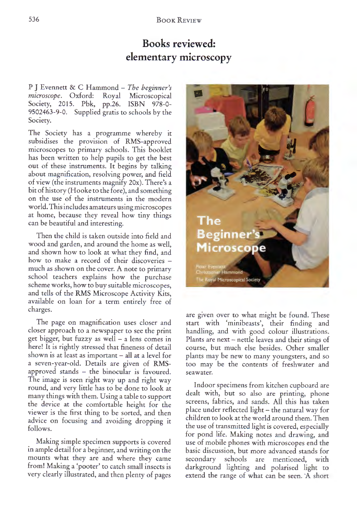## **Books reviewed: elementary microscopy**

<sup>P</sup>J Evennett & C Hammond- *The beginner's*  Royal Microscopical Society, 2015. Pbk, pp.26. ISBN 978-0- 9502463-9-0. Supplied gratis to schools by the Society.

The Society has a programme whereby it subsidises the provision of RMS-approved microscopes to primary schools. This booklet has been written to help pupils to get the best out of these instruments. It begins by talking about magnification, resolving power, and field of view (the instruments magnify 20x). There's a bit of history (Hooke to the fore), and something on the use of the instruments in the modern world. This includes amateurs using microscopes at home, because they reveal how tiny things can be beautiful and interesting.

Then the child is taken outside into field and wood and garden, and around the home as well, and shown how to look at what they find, and how to make a record of their discoveries much as shown on the cover. A note to primary school teachers explains how the purchase scheme works, how to buy suitable microscopes, and tells of theRMS Microscope Activity Kits, available on loan for a term entirely free of charges.

The page on magnification uses closer and closer approach to a newspaper to see the print get bigger, but fuzzy as well  $-$  a lens comes in here! It is rightly stressed that fineness of detail shown is at least as important  $-$  all at a level for a seven-year-old. Details are given of RMSapproved stands - the binocular is favoured. The image is seen right way up and right way round, and very little has to be done to look at many things with them. Using a table to support the device at the comfortable height for the viewer is the first thing to be sorted, and then advice on focusing and avoiding dropping it follows.

Making simple specimen supports is covered in ample detail for a beginner, and writing on the mounts what they are and where they came from! Making a 'pooter' to catch small insects is very clearly illustrated, and then plenty of pages



are given over to what might be found. These start with 'minibeasts', their finding and handling, and with good colour illustrations. Plants are next- nettle leaves and their stings of course, but much else besides. Other smaller <sup>p</sup>lants may be new to many youngsters, and so too may be the contents of freshwater and sea water.

Indoor specimens from kitchen cupboard are dealt with, but so also are printing, phon<sup>e</sup> screens, fabrics, and sands. All this has taken <sup>p</sup>lace under reflected light- the natural way for children to look at the world around them. Then the use of transmitted light is covered, especially for pond life. Making notes and drawing, and use of mobile phones with microscopes end the basic discussion, but more advanced stands for secondary schools are mentioned, with darkground lighting and polarised light to extend the range of what can be seen. A short